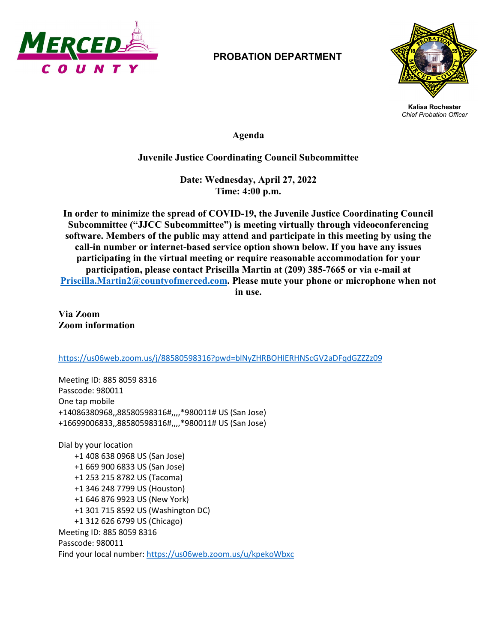

## **PROBATION DEPARTMENT**



**Kalisa Rochester** *Chief Probation Officer*

**Agenda**

## **Juvenile Justice Coordinating Council Subcommittee**

**Date: Wednesday, April 27, 2022 Time: 4:00 p.m.**

**In order to minimize the spread of COVID-19, the Juvenile Justice Coordinating Council Subcommittee ("JJCC Subcommittee") is meeting virtually through videoconferencing software. Members of the public may attend and participate in this meeting by using the call-in number or internet-based service option shown below. If you have any issues participating in the virtual meeting or require reasonable accommodation for your participation, please contact Priscilla Martin at (209) 385-7665 or via e-mail at [Priscilla.Martin2@countyofmerced.com.](mailto:Priscilla.Martin2@countyofmerced.com) Please mute your phone or microphone when not in use.**

**Via Zoom Zoom information**

<https://us06web.zoom.us/j/88580598316?pwd=blNyZHRBOHlERHNScGV2aDFqdGZZZz09>

Meeting ID: 885 8059 8316 Passcode: 980011 One tap mobile +14086380968,,88580598316#,,,,\*980011# US (San Jose) +16699006833,,88580598316#,,,,\*980011# US (San Jose)

Dial by your location +1 408 638 0968 US (San Jose) +1 669 900 6833 US (San Jose) +1 253 215 8782 US (Tacoma) +1 346 248 7799 US (Houston) +1 646 876 9923 US (New York) +1 301 715 8592 US (Washington DC) +1 312 626 6799 US (Chicago) Meeting ID: 885 8059 8316 Passcode: 980011 Find your local number[: https://us06web.zoom.us/u/kpekoWbxc](https://us06web.zoom.us/u/kpekoWbxc)